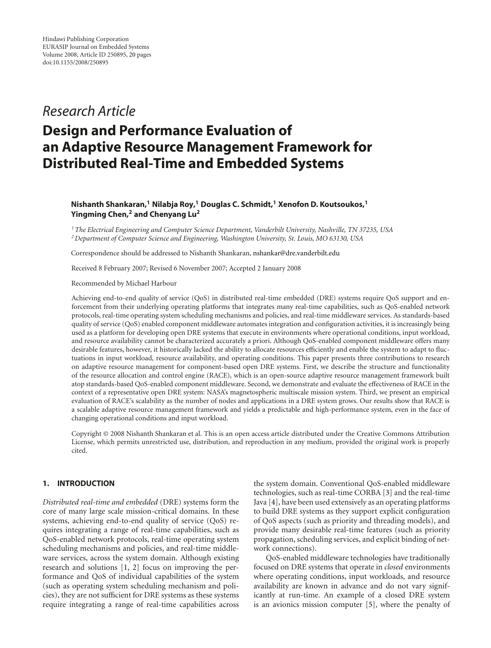## *Research Article*

# **Design and Performance Evaluation of an Adaptive Resource Management Framework for Distributed Real-Time and Embedded Systems**

## **Nishanth Shankaran,1 Nilabja Roy,1 Douglas C. Schmidt,1 Xenofon D. Koutsoukos,1 Yingming Chen,2 and Chenyang Lu2**

*1The Electrical Engineering and Computer Science Department, Vanderbilt University, Nashville, TN 37235, USA 2Department of Computer Science and Engineering, Washington University, St. Louis, MO 63130, USA*

Correspondence should be addressed to Nishanth Shankaran, nshankar@dre.vanderbilt.edu

Received 8 February 2007; Revised 6 November 2007; Accepted 2 January 2008

Recommended by Michael Harbour

Achieving end-to-end quality of service (QoS) in distributed real-time embedded (DRE) systems require QoS support and enforcement from their underlying operating platforms that integrates many real-time capabilities, such as QoS-enabled network protocols, real-time operating system scheduling mechanisms and policies, and real-time middleware services. As standards-based quality of service (QoS) enabled component middleware automates integration and configuration activities, it is increasingly being used as a platform for developing open DRE systems that execute in environments where operational conditions, input workload, and resource availability cannot be characterized accurately a priori. Although QoS-enabled component middleware offers many desirable features, however, it historically lacked the ability to allocate resources efficiently and enable the system to adapt to fluctuations in input workload, resource availability, and operating conditions. This paper presents three contributions to research on adaptive resource management for component-based open DRE systems. First, we describe the structure and functionality of the resource allocation and control engine (RACE), which is an open-source adaptive resource management framework built atop standards-based QoS-enabled component middleware. Second, we demonstrate and evaluate the effectiveness of RACE in the context of a representative open DRE system: NASA's magnetospheric multiscale mission system. Third, we present an empirical evaluation of RACE's scalability as the number of nodes and applications in a DRE system grows. Our results show that RACE is a scalable adaptive resource management framework and yields a predictable and high-performance system, even in the face of changing operational conditions and input workload.

Copyright © 2008 Nishanth Shankaran et al. This is an open access article distributed under the Creative Commons Attribution License, which permits unrestricted use, distribution, and reproduction in any medium, provided the original work is properly cited.

## **1. INTRODUCTION**

*Distributed real-time and embedded* (DRE) systems form the core of many large scale mission-critical domains. In these systems, achieving end-to-end quality of service (QoS) requires integrating a range of real-time capabilities, such as QoS-enabled network protocols, real-time operating system scheduling mechanisms and policies, and real-time middleware services, across the system domain. Although existing research and solutions [1, 2] focus on improving the performance and QoS of individual capabilities of the system (such as operating system scheduling mechanism and policies), they are not sufficient for DRE systems as these systems require integrating a range of real-time capabilities across the system domain. Conventional QoS-enabled middleware technologies, such as real-time CORBA [3] and the real-time Java [4], have been used extensively as an operating platforms to build DRE systems as they support explicit configuration of QoS aspects (such as priority and threading models), and provide many desirable real-time features (such as priority propagation, scheduling services, and explicit binding of network connections).

QoS-enabled middleware technologies have traditionally focused on DRE systems that operate in *closed* environments where operating conditions, input workloads, and resource availability are known in advance and do not vary significantly at run-time. An example of a closed DRE system is an avionics mission computer [5], where the penalty of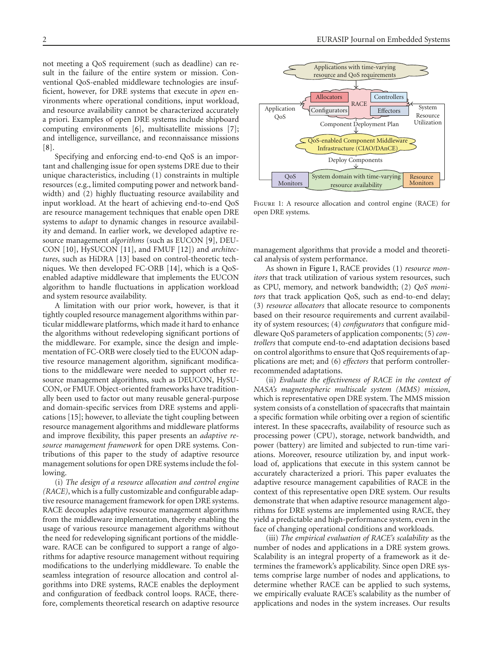ventional QoS-enabled middleware technologies are insufficient, however, for DRE systems that execute in *open* environments where operational conditions, input workload, and resource availability cannot be characterized accurately a priori. Examples of open DRE systems include shipboard computing environments [6], multisatellite missions [7]; and intelligence, surveillance, and reconnaissance missions [8].

Specifying and enforcing end-to-end QoS is an important and challenging issue for open systems DRE due to their unique characteristics, including (1) constraints in multiple resources (e.g., limited computing power and network bandwidth) and (2) highly fluctuating resource availability and input workload. At the heart of achieving end-to-end QoS are resource management techniques that enable open DRE systems to *adapt* to dynamic changes in resource availability and demand. In earlier work, we developed adaptive resource management *algorithms* (such as EUCON [9], DEU-CON [10], HySUCON [11], and FMUF [12]) and *architectures*, such as HiDRA [13] based on control-theoretic techniques. We then developed FC-ORB [14], which is a QoSenabled adaptive middleware that implements the EUCON algorithm to handle fluctuations in application workload and system resource availability.

A limitation with our prior work, however, is that it tightly coupled resource management algorithms within particular middleware platforms, which made it hard to enhance the algorithms without redeveloping significant portions of the middleware. For example, since the design and implementation of FC-ORB were closely tied to the EUCON adaptive resource management algorithm, significant modifications to the middleware were needed to support other resource management algorithms, such as DEUCON, HySU-CON, or FMUF. Object-oriented frameworks have traditionally been used to factor out many reusable general-purpose and domain-specific services from DRE systems and applications [15]; however, to alleviate the tight coupling between resource management algorithms and middleware platforms and improve flexibility, this paper presents an *adaptive resource management framework* for open DRE systems. Contributions of this paper to the study of adaptive resource management solutions for open DRE systems include the following.

(i) *The design of a resource allocation and control engine (RACE)*, which is a fully customizable and configurable adaptive resource management framework for open DRE systems. RACE decouples adaptive resource management algorithms from the middleware implementation, thereby enabling the usage of various resource management algorithms without the need for redeveloping significant portions of the middleware. RACE can be configured to support a range of algorithms for adaptive resource management without requiring modifications to the underlying middleware. To enable the seamless integration of resource allocation and control algorithms into DRE systems, RACE enables the deployment and configuration of feedback control loops. RACE, therefore, complements theoretical research on adaptive resource



Figure 1: A resource allocation and control engine (RACE) for open DRE systems.

management algorithms that provide a model and theoretical analysis of system performance.

As shown in Figure 1, RACE provides (1) *resource monitors* that track utilization of various system resources, such as CPU, memory, and network bandwidth; (2) *QoS monitors* that track application QoS, such as end-to-end delay; (3) *resource allocators* that allocate resource to components based on their resource requirements and current availability of system resources; (4) *configurators* that configure middleware QoS parameters of application components; (5) *controllers* that compute end-to-end adaptation decisions based on control algorithms to ensure that QoS requirements of applications are met; and (6) *effectors* that perform controllerrecommended adaptations.

(ii) *Evaluate the effectiveness of RACE in the context of NASA's magnetospheric multiscale system (MMS) mission*, which is representative open DRE system. The MMS mission system consists of a constellation of spacecrafts that maintain a specific formation while orbiting over a region of scientific interest. In these spacecrafts, availability of resource such as processing power (CPU), storage, network bandwidth, and power (battery) are limited and subjected to run-time variations. Moreover, resource utilization by, and input workload of, applications that execute in this system cannot be accurately characterized a priori. This paper evaluates the adaptive resource management capabilities of RACE in the context of this representative open DRE system. Our results demonstrate that when adaptive resource management algorithms for DRE systems are implemented using RACE, they yield a predictable and high-performance system, even in the face of changing operational conditions and workloads.

(iii) *The empirical evaluation of RACE's scalability* as the number of nodes and applications in a DRE system grows. Scalability is an integral property of a framework as it determines the framework's applicability. Since open DRE systems comprise large number of nodes and applications, to determine whether RACE can be applied to such systems, we empirically evaluate RACE's scalability as the number of applications and nodes in the system increases. Our results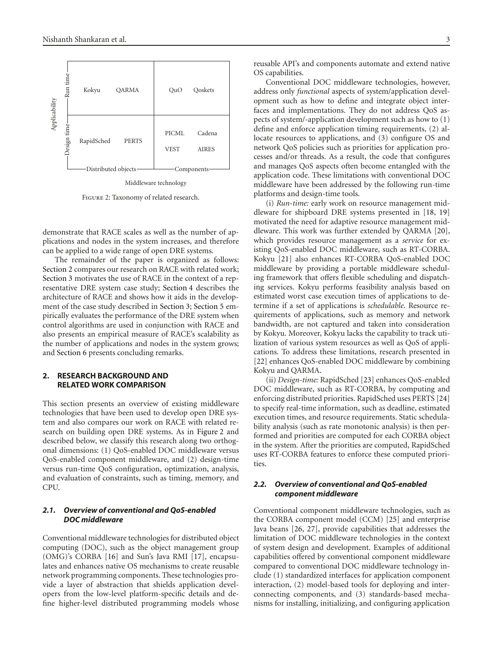

Middleware technology

Figure 2: Taxonomy of related research.

demonstrate that RACE scales as well as the number of applications and nodes in the system increases, and therefore can be applied to a wide range of open DRE systems.

The remainder of the paper is organized as follows: Section 2 compares our research on RACE with related work; Section 3 motivates the use of RACE in the context of a representative DRE system case study; Section 4 describes the architecture of RACE and shows how it aids in the development of the case study described in Section 3; Section 5 empirically evaluates the performance of the DRE system when control algorithms are used in conjunction with RACE and also presents an empirical measure of RACE's scalability as the number of applications and nodes in the system grows; and Section 6 presents concluding remarks.

#### **2. RESEARCH BACKGROUND AND RELATED WORK COMPARISON**

This section presents an overview of existing middleware technologies that have been used to develop open DRE system and also compares our work on RACE with related research on building open DRE systems. As in Figure 2 and described below, we classify this research along two orthogonal dimensions: (1) QoS-enabled DOC middleware versus QoS-enabled component middleware, and (2) design-time versus run-time QoS configuration, optimization, analysis, and evaluation of constraints, such as timing, memory, and CPU.

## *2.1. Overview of conventional and QoS-enabled DOC middleware*

Conventional middleware technologies for distributed object computing (DOC), such as the object management group (OMG)'s CORBA [16] and Sun's Java RMI [17], encapsulates and enhances native OS mechanisms to create reusable network programming components. These technologies provide a layer of abstraction that shields application developers from the low-level platform-specific details and define higher-level distributed programming models whose

reusable API's and components automate and extend native OS capabilities.

Conventional DOC middleware technologies, however, address only *functional* aspects of system/application development such as how to define and integrate object interfaces and implementations. They do not address QoS aspects of system/-application development such as how to (1) define and enforce application timing requirements, (2) allocate resources to applications, and (3) configure OS and network QoS policies such as priorities for application processes and/or threads. As a result, the code that configures and manages QoS aspects often become entangled with the application code. These limitations with conventional DOC middleware have been addressed by the following run-time platforms and design-time tools.

(i) *Run-time:* early work on resource management middleware for shipboard DRE systems presented in [18, 19] motivated the need for adaptive resource management middleware. This work was further extended by QARMA [20], which provides resource management as a *service* for existing QoS-enabled DOC middleware, such as RT-CORBA. Kokyu [21] also enhances RT-CORBA QoS-enabled DOC middleware by providing a portable middleware scheduling framework that offers flexible scheduling and dispatching services. Kokyu performs feasibility analysis based on estimated worst case execution times of applications to determine if a set of applications is *schedulable*. Resource requirements of applications, such as memory and network bandwidth, are not captured and taken into consideration by Kokyu. Moreover, Kokyu lacks the capability to track utilization of various system resources as well as QoS of applications. To address these limitations, research presented in [22] enhances QoS-enabled DOC middleware by combining Kokyu and QARMA.

(ii) *Design-time:* RapidSched [23] enhances QoS-enabled DOC middleware, such as RT-CORBA, by computing and enforcing distributed priorities. RapidSched uses PERTS [24] to specify real-time information, such as deadline, estimated execution times, and resource requirements. Static schedulability analysis (such as rate monotonic analysis) is then performed and priorities are computed for each CORBA object in the system. After the priorities are computed, RapidSched uses RT-CORBA features to enforce these computed priorities.

## *2.2. Overview of conventional and QoS-enabled component middleware*

Conventional component middleware technologies, such as the CORBA component model (CCM) [25] and enterprise Java beans [26, 27], provide capabilities that addresses the limitation of DOC middleware technologies in the context of system design and development. Examples of additional capabilities offered by conventional component middleware compared to conventional DOC middleware technology include (1) standardized interfaces for application component interaction, (2) model-based tools for deploying and interconnecting components, and (3) standards-based mechanisms for installing, initializing, and configuring application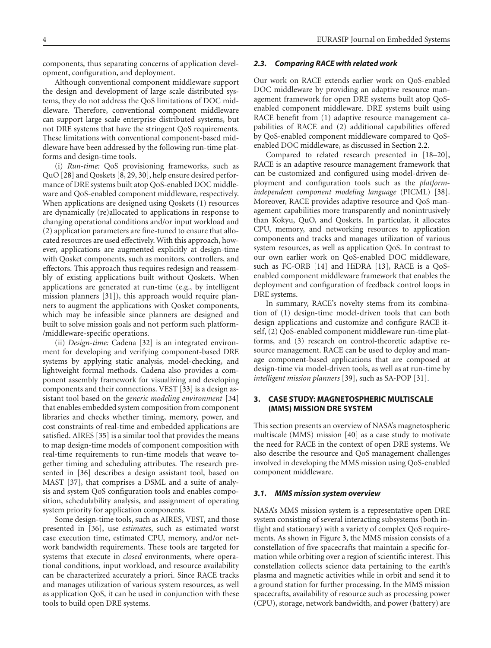components, thus separating concerns of application development, configuration, and deployment.

Although conventional component middleware support the design and development of large scale distributed systems, they do not address the QoS limitations of DOC middleware. Therefore, conventional component middleware can support large scale enterprise distributed systems, but not DRE systems that have the stringent QoS requirements. These limitations with conventional component-based middleware have been addressed by the following run-time platforms and design-time tools.

(i) *Run-time:* QoS provisioning frameworks, such as QuO [28] and Qoskets [8, 29, 30], help ensure desired performance of DRE systems built atop QoS-enabled DOC middleware and QoS-enabled component middleware, respectively. When applications are designed using Qoskets (1) resources are dynamically (re)allocated to applications in response to changing operational conditions and/or input workload and (2) application parameters are fine-tuned to ensure that allocated resources are used effectively. With this approach, however, applications are augmented explicitly at design-time with Qosket components, such as monitors, controllers, and effectors. This approach thus requires redesign and reassembly of existing applications built without Qoskets. When applications are generated at run-time (e.g., by intelligent mission planners [31]), this approach would require planners to augment the applications with Qosket components, which may be infeasible since planners are designed and built to solve mission goals and not perform such platform- /middleware-specific operations.

(ii) *Design-time:* Cadena [32] is an integrated environment for developing and verifying component-based DRE systems by applying static analysis, model-checking, and lightweight formal methods. Cadena also provides a component assembly framework for visualizing and developing components and their connections. VEST [33] is a design assistant tool based on the *generic modeling environment* [34] that enables embedded system composition from component libraries and checks whether timing, memory, power, and cost constraints of real-time and embedded applications are satisfied. AIRES [35] is a similar tool that provides the means to map design-time models of component composition with real-time requirements to run-time models that weave together timing and scheduling attributes. The research presented in [36] describes a design assistant tool, based on MAST [37], that comprises a DSML and a suite of analysis and system QoS configuration tools and enables composition, schedulability analysis, and assignment of operating system priority for application components.

Some design-time tools, such as AIRES, VEST, and those presented in [36], use *estimates*, such as estimated worst case execution time, estimated CPU, memory, and/or network bandwidth requirements. These tools are targeted for systems that execute in *closed* environments, where operational conditions, input workload, and resource availability can be characterized accurately a priori. Since RACE tracks and manages utilization of various system resources, as well as application QoS, it can be used in conjunction with these tools to build open DRE systems.

#### *2.3. Comparing RACE with related work*

Our work on RACE extends earlier work on QoS-enabled DOC middleware by providing an adaptive resource management framework for open DRE systems built atop QoSenabled component middleware. DRE systems built using RACE benefit from (1) adaptive resource management capabilities of RACE and (2) additional capabilities offered by QoS-enabled component middleware compared to QoSenabled DOC middleware, as discussed in Section 2.2.

Compared to related research presented in [18–20], RACE is an adaptive resource management framework that can be customized and configured using model-driven deployment and configuration tools such as the *platformindependent component modeling language* (PICML) [38]. Moreover, RACE provides adaptive resource and QoS management capabilities more transparently and nonintrusively than Kokyu, QuO, and Qoskets. In particular, it allocates CPU, memory, and networking resources to application components and tracks and manages utilization of various system resources, as well as application QoS. In contrast to our own earlier work on QoS-enabled DOC middleware, such as FC-ORB [14] and HiDRA [13], RACE is a QoSenabled component middleware framework that enables the deployment and configuration of feedback control loops in DRE systems.

In summary, RACE's novelty stems from its combination of (1) design-time model-driven tools that can both design applications and customize and configure RACE itself, (2) QoS-enabled component middleware run-time platforms, and (3) research on control-theoretic adaptive resource management. RACE can be used to deploy and manage component-based applications that are composed at design-time via model-driven tools, as well as at run-time by *intelligent mission planners* [39], such as SA-POP [31].

## **3. CASE STUDY: MAGNETOSPHERIC MULTISCALE (MMS) MISSION DRE SYSTEM**

This section presents an overview of NASA's magnetospheric multiscale (MMS) mission [40] as a case study to motivate the need for RACE in the context of open DRE systems. We also describe the resource and QoS management challenges involved in developing the MMS mission using QoS-enabled component middleware.

#### *3.1. MMS mission system overview*

NASA's MMS mission system is a representative open DRE system consisting of several interacting subsystems (both inflight and stationary) with a variety of complex QoS requirements. As shown in Figure 3, the MMS mission consists of a constellation of five spacecrafts that maintain a specific formation while orbiting over a region of scientific interest. This constellation collects science data pertaining to the earth's plasma and magnetic activities while in orbit and send it to a ground station for further processing. In the MMS mission spacecrafts, availability of resource such as processing power (CPU), storage, network bandwidth, and power (battery) are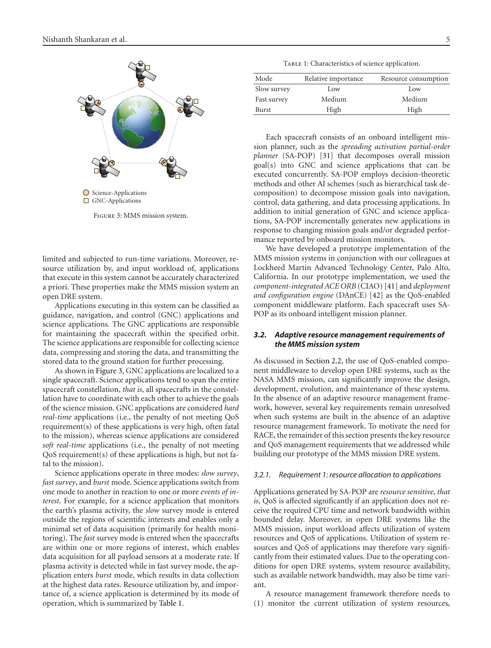

limited and subjected to run-time variations. Moreover, resource utilization by, and input workload of, applications that execute in this system cannot be accurately characterized a priori. These properties make the MMS mission system an open DRE system.

Applications executing in this system can be classified as guidance, navigation, and control (GNC) applications and science applications. The GNC applications are responsible for maintaining the spacecraft within the specified orbit. The science applications are responsible for collecting science data, compressing and storing the data, and transmitting the stored data to the ground station for further processing.

As shown in Figure 3, GNC applications are localized to a single spacecraft. Science applications tend to span the entire spacecraft constellation, *that is*, all spacecrafts in the constellation have to coordinate with each other to achieve the goals of the science mission. GNC applications are considered *hard real-time* applications (i.e., the penalty of not meeting QoS requirement(s) of these applications is very high, often fatal to the mission), whereas science applications are considered *soft real-time* applications (i.e., the penalty of not meeting QoS requirement(s) of these applications is high, but not fatal to the mission).

Science applications operate in three modes: *slow survey*, *fast survey*, and *burst* mode. Science applications switch from one mode to another in reaction to one or more *events of interest*. For example, for a science application that monitors the earth's plasma activity, the *slow* survey mode is entered outside the regions of scientific interests and enables only a minimal set of data acquisition (primarily for health monitoring). The *fast* survey mode is entered when the spacecrafts are within one or more regions of interest, which enables data acquisition for all payload sensors at a moderate rate. If plasma activity is detected while in fast survey mode, the application enters *burst* mode, which results in data collection at the highest data rates. Resource utilization by, and importance of, a science application is determined by its mode of operation, which is summarized by Table 1.

| Mode        | Relative importance | Resource consumption |  |  |
|-------------|---------------------|----------------------|--|--|
| Slow survey | Low                 | Low                  |  |  |
| Fast survey | Medium              | Medium               |  |  |
| Burst       | High                | High                 |  |  |

Each spacecraft consists of an onboard intelligent mission planner, such as the *spreading activation partial-order planner* (SA-POP) [31] that decomposes overall mission goal(s) into GNC and science applications that can be executed concurrently. SA-POP employs decision-theoretic methods and other AI schemes (such as hierarchical task decomposition) to decompose mission goals into navigation, control, data gathering, and data processing applications. In addition to initial generation of GNC and science applications, SA-POP incrementally generates new applications in response to changing mission goals and/or degraded performance reported by onboard mission monitors.

We have developed a prototype implementation of the MMS mission systems in conjunction with our colleagues at Lockheed Martin Advanced Technology Center, Palo Alto, California. In our prototype implementation, we used the *component-integrated ACE ORB* (CIAO) [41] and *deployment and configuration engine* (DAnCE) [42] as the QoS-enabled component middleware platform. Each spacecraft uses SA-POP as its onboard intelligent mission planner.

#### *3.2. Adaptive resource management requirements of the MMS mission system*

As discussed in Section 2.2, the use of QoS-enabled component middleware to develop open DRE systems, such as the NASA MMS mission, can significantly improve the design, development, evolution, and maintenance of these systems. In the absence of an adaptive resource management framework, however, several key requirements remain unresolved when such systems are built in the absence of an adaptive resource management framework. To motivate the need for RACE, the remainder of this section presents the key resource and QoS management requirements that we addressed while building our prototype of the MMS mission DRE system.

#### *3.2.1. Requirement 1: resource allocation to applications*

Applications generated by SA-POP are *resource sensitive*, *that is*, QoS is affected significantly if an application does not receive the required CPU time and network bandwidth within bounded delay. Moreover, in open DRE systems like the MMS mission, input workload affects utilization of system resources and QoS of applications. Utilization of system resources and QoS of applications may therefore vary significantly from their estimated values. Due to the operating conditions for open DRE systems, system resource availability, such as available network bandwidth, may also be time variant.

A resource management framework therefore needs to (1) monitor the current utilization of system resources,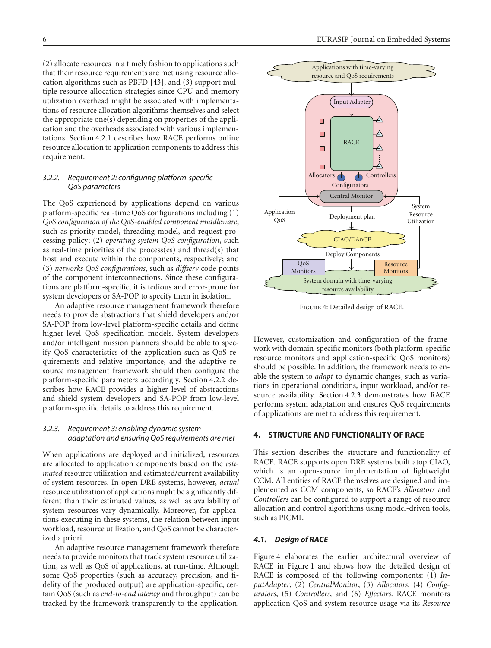(2) allocate resources in a timely fashion to applications such that their resource requirements are met using resource allocation algorithms such as PBFD [43], and (3) support multiple resource allocation strategies since CPU and memory utilization overhead might be associated with implementations of resource allocation algorithms themselves and select the appropriate one(s) depending on properties of the application and the overheads associated with various implementations. Section 4.2.1 describes how RACE performs online resource allocation to application components to address this requirement.

## *3.2.2. Requirement 2: configuring platform-specific QoS parameters*

The QoS experienced by applications depend on various platform-specific real-time QoS configurations including (1) *QoS configuration of the QoS-enabled component middleware*, such as priority model, threading model, and request processing policy; (2) *operating system QoS configuration*, such as real-time priorities of the process(es) and thread(s) that host and execute within the components, respectively; and (3) *networks QoS configurations*, such as *diffserv* code points of the component interconnections. Since these configurations are platform-specific, it is tedious and error-prone for system developers or SA-POP to specify them in isolation.

An adaptive resource management framework therefore needs to provide abstractions that shield developers and/or SA-POP from low-level platform-specific details and define higher-level QoS specification models. System developers and/or intelligent mission planners should be able to specify QoS characteristics of the application such as QoS requirements and relative importance, and the adaptive resource management framework should then configure the platform-specific parameters accordingly. Section 4.2.2 describes how RACE provides a higher level of abstractions and shield system developers and SA-POP from low-level platform-specific details to address this requirement.

## *3.2.3. Requirement 3: enabling dynamic system adaptation and ensuring QoS requirements are met*

When applications are deployed and initialized, resources are allocated to application components based on the *estimated* resource utilization and estimated/current availability of system resources. In open DRE systems, however, *actual* resource utilization of applications might be significantly different than their estimated values, as well as availability of system resources vary dynamically. Moreover, for applications executing in these systems, the relation between input workload, resource utilization, and QoS cannot be characterized a priori.

An adaptive resource management framework therefore needs to provide monitors that track system resource utilization, as well as QoS of applications, at run-time. Although some QoS properties (such as accuracy, precision, and fidelity of the produced output) are application-specific, certain QoS (such as *end-to-end latency* and throughput) can be tracked by the framework transparently to the application.



Figure 4: Detailed design of RACE.

However, customization and configuration of the framework with domain-specific monitors (both platform-specific resource monitors and application-specific QoS monitors) should be possible. In addition, the framework needs to enable the system to *adapt* to dynamic changes, such as variations in operational conditions, input workload, and/or resource availability. Section 4.2.3 demonstrates how RACE performs system adaptation and ensures QoS requirements of applications are met to address this requirement.

#### **4. STRUCTURE AND FUNCTIONALITY OF RACE**

This section describes the structure and functionality of RACE. RACE supports open DRE systems built atop CIAO, which is an open-source implementation of lightweight CCM. All entities of RACE themselves are designed and implemented as CCM components, so RACE's *Allocators* and *Controllers* can be configured to support a range of resource allocation and control algorithms using model-driven tools, such as PICML.

## *4.1. Design of RACE*

Figure 4 elaborates the earlier architectural overview of RACE in Figure 1 and shows how the detailed design of RACE is composed of the following components: (1) *InputAdapter*, (2) *CentralMonitor*, (3) *Allocators*, (4) *Configurators*, (5) *Controllers*, and (6) *Effectors*. RACE monitors application QoS and system resource usage via its *Resource*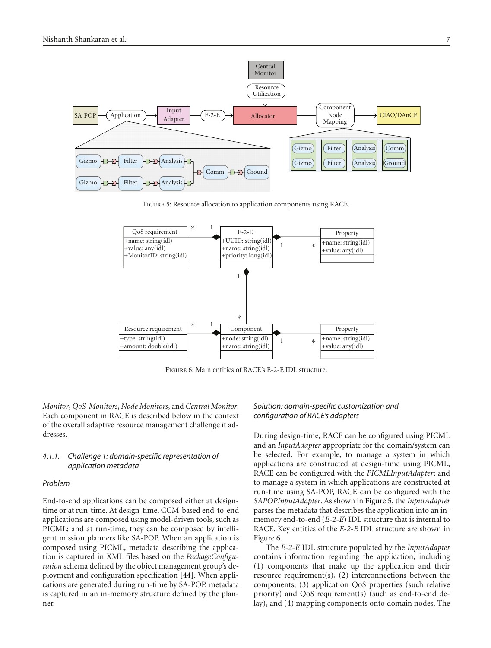

Figure 5: Resource allocation to application components using RACE.



Figure 6: Main entities of RACE's E-2-E IDL structure.

*Monitor*, *QoS-Monitors*, *Node Monitors*, and *Central Monitor*. Each component in RACE is described below in the context of the overall adaptive resource management challenge it addresses.

## *4.1.1. Challenge 1: domain-specific representation of application metadata*

#### *Problem*

End-to-end applications can be composed either at designtime or at run-time. At design-time, CCM-based end-to-end applications are composed using model-driven tools, such as PICML; and at run-time, they can be composed by intelligent mission planners like SA-POP. When an application is composed using PICML, metadata describing the application is captured in XML files based on the *PackageConfiguration* schema defined by the object management group's deployment and configuration specification [44]. When applications are generated during run-time by SA-POP, metadata is captured in an in-memory structure defined by the planner.

## *Solution: domain-specific customization and configuration of RACE's adapters*

During design-time, RACE can be configured using PICML and an *InputAdapter* appropriate for the domain/system can be selected. For example, to manage a system in which applications are constructed at design-time using PICML, RACE can be configured with the *PICMLInputAdapter*; and to manage a system in which applications are constructed at run-time using SA-POP, RACE can be configured with the *SAPOPInputAdapter*. As shown in Figure 5, the *InputAdapter* parses the metadata that describes the application into an inmemory end-to-end (*E-2-E*) IDL structure that is internal to RACE. Key entities of the *E-2-E* IDL structure are shown in Figure 6.

The *E-2-E* IDL structure populated by the *InputAdapter* contains information regarding the application, including (1) components that make up the application and their resource requirement(s),  $(2)$  interconnections between the components, (3) application QoS properties (such relative priority) and QoS requirement(s) (such as end-to-end delay), and (4) mapping components onto domain nodes. The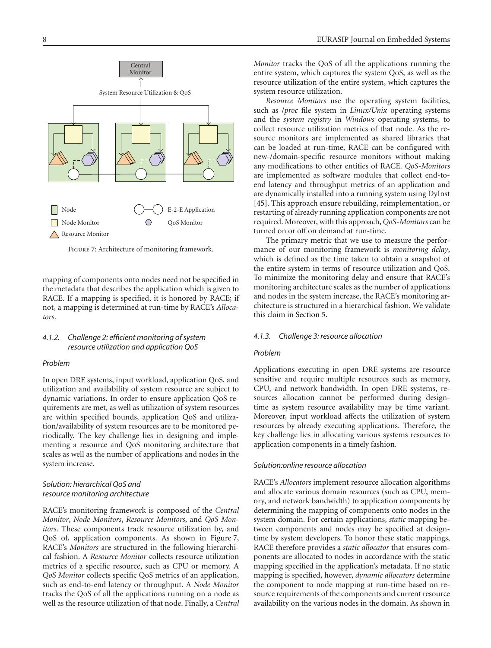

Figure 7: Architecture of monitoring framework.

mapping of components onto nodes need not be specified in the metadata that describes the application which is given to RACE. If a mapping is specified, it is honored by RACE; if not, a mapping is determined at run-time by RACE's *Allocators*.

## *4.1.2. Challenge 2: efficient monitoring of system resource utilization and application QoS*

## *Problem*

In open DRE systems, input workload, application QoS, and utilization and availability of system resource are subject to dynamic variations. In order to ensure application QoS requirements are met, as well as utilization of system resources are within specified bounds, application QoS and utilization/availability of system resources are to be monitored periodically. The key challenge lies in designing and implementing a resource and QoS monitoring architecture that scales as well as the number of applications and nodes in the system increase.

## *Solution: hierarchical QoS and resource monitoring architecture*

RACE's monitoring framework is composed of the *Central Monitor*, *Node Monitors*, *Resource Monitors*, and *QoS Monitors*. These components track resource utilization by, and QoS of, application components. As shown in Figure 7, RACE's *Monitors* are structured in the following hierarchical fashion. A *Resource Monitor* collects resource utilization metrics of a specific resource, such as CPU or memory. A *QoS Monitor* collects specific QoS metrics of an application, such as end-to-end latency or throughput. A *Node Monitor* tracks the QoS of all the applications running on a node as well as the resource utilization of that node. Finally, a *Central* *Monitor* tracks the QoS of all the applications running the entire system, which captures the system QoS, as well as the resource utilization of the entire system, which captures the system resource utilization.

*Resource Monitors* use the operating system facilities, such as /*proc* file system in *Linux/Unix* operating systems and the *system registry* in *Windows* operating systems, to collect resource utilization metrics of that node. As the resource monitors are implemented as shared libraries that can be loaded at run-time, RACE can be configured with new-/domain-specific resource monitors without making any modifications to other entities of RACE. *QoS-Monitors* are implemented as software modules that collect end-toend latency and throughput metrics of an application and are dynamically installed into a running system using DyInst [45]. This approach ensure rebuilding, reimplementation, or restarting of already running application components are not required. Moreover, with this approach, *QoS-Monitors* can be turned on or off on demand at run-time.

The primary metric that we use to measure the performance of our monitoring framework is *monitoring delay*, which is defined as the time taken to obtain a snapshot of the entire system in terms of resource utilization and QoS. To minimize the monitoring delay and ensure that RACE's monitoring architecture scales as the number of applications and nodes in the system increase, the RACE's monitoring architecture is structured in a hierarchical fashion. We validate this claim in Section 5.

#### *4.1.3. Challenge 3: resource allocation*

#### *Problem*

Applications executing in open DRE systems are resource sensitive and require multiple resources such as memory, CPU, and network bandwidth. In open DRE systems, resources allocation cannot be performed during designtime as system resource availability may be time variant. Moreover, input workload affects the utilization of system resources by already executing applications. Therefore, the key challenge lies in allocating various systems resources to application components in a timely fashion.

#### *Solution:online resource allocation*

RACE's *Allocators* implement resource allocation algorithms and allocate various domain resources (such as CPU, memory, and network bandwidth) to application components by determining the mapping of components onto nodes in the system domain. For certain applications, *static* mapping between components and nodes may be specified at designtime by system developers. To honor these static mappings, RACE therefore provides a *static allocator* that ensures components are allocated to nodes in accordance with the static mapping specified in the application's metadata. If no static mapping is specified, however, *dynamic allocators* determine the component to node mapping at run-time based on resource requirements of the components and current resource availability on the various nodes in the domain. As shown in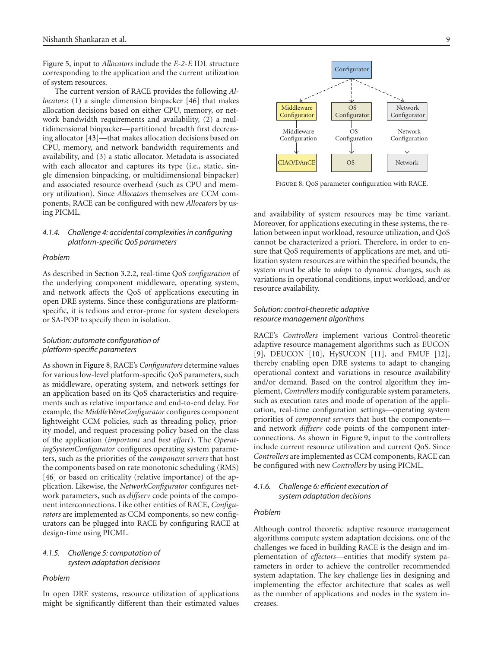Figure 5, input to *Allocators* include the *E-2-E* IDL structure corresponding to the application and the current utilization of system resources.

The current version of RACE provides the following *Allocators*: (1) a single dimension binpacker [46] that makes allocation decisions based on either CPU, memory, or network bandwidth requirements and availability, (2) a multidimensional binpacker—partitioned breadth first decreasing allocator [43]—that makes allocation decisions based on CPU, memory, and network bandwidth requirements and availability, and (3) a static allocator. Metadata is associated with each allocator and captures its type (i.e., static, single dimension binpacking, or multidimensional binpacker) and associated resource overhead (such as CPU and memory utilization). Since *Allocators* themselves are CCM components, RACE can be configured with new *Allocators* by using PICML.

#### *4.1.4. Challenge 4: accidental complexities in configuring platform-specific QoS parameters*

#### *Problem*

As described in Section 3.2.2, real-time QoS *configuration* of the underlying component middleware, operating system, and network affects the QoS of applications executing in open DRE systems. Since these configurations are platformspecific, it is tedious and error-prone for system developers or SA-POP to specify them in isolation.

### *Solution: automate configuration of platform-specific parameters*

As shown in Figure 8, RACE's *Configurators* determine values for various low-level platform-specific QoS parameters, such as middleware, operating system, and network settings for an application based on its QoS characteristics and requirements such as relative importance and end-to-end delay. For example, the *MiddleWareConfigurator* configures component lightweight CCM policies, such as threading policy, priority model, and request processing policy based on the class of the application (*important* and *best effort*). The *OperatingSystemConfigurator* configures operating system parameters, such as the priorities of the *component servers* that host the components based on rate monotonic scheduling (RMS) [46] or based on criticality (relative importance) of the application. Likewise, the *NetworkConfigurator* configures network parameters, such as *diffserv* code points of the component interconnections. Like other entities of RACE, *Configurators* are implemented as CCM components, so new configurators can be plugged into RACE by configuring RACE at design-time using PICML.

### *4.1.5. Challenge 5: computation of system adaptation decisions*

#### *Problem*

In open DRE systems, resource utilization of applications might be significantly different than their estimated values



Figure 8: QoS parameter configuration with RACE.

and availability of system resources may be time variant. Moreover, for applications executing in these systems, the relation between input workload, resource utilization, and QoS cannot be characterized a priori. Therefore, in order to ensure that QoS requirements of applications are met, and utilization system resources are within the specified bounds, the system must be able to *adapt* to dynamic changes, such as variations in operational conditions, input workload, and/or resource availability.

#### *Solution: control-theoretic adaptive resource management algorithms*

RACE's *Controllers* implement various Control-theoretic adaptive resource management algorithms such as EUCON [9], DEUCON [10], HySUCON [11], and FMUF [12], thereby enabling open DRE systems to adapt to changing operational context and variations in resource availability and/or demand. Based on the control algorithm they implement, *Controllers* modify configurable system parameters, such as execution rates and mode of operation of the application, real-time configuration settings—operating system priorities of *component servers* that host the components and network *diffserv* code points of the component interconnections. As shown in Figure 9, input to the controllers include current resource utilization and current QoS. Since *Controllers* are implemented as CCM components, RACE can be configured with new *Controllers* by using PICML.

## *4.1.6. Challenge 6: efficient execution of system adaptation decisions*

#### *Problem*

Although control theoretic adaptive resource management algorithms compute system adaptation decisions, one of the challenges we faced in building RACE is the design and implementation of *effectors*—entities that modify system parameters in order to achieve the controller recommended system adaptation. The key challenge lies in designing and implementing the effector architecture that scales as well as the number of applications and nodes in the system increases.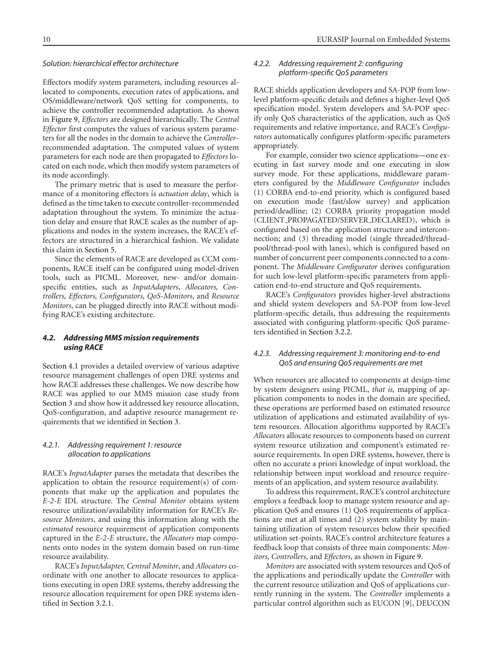## *Solution: hierarchical effector architecture*

Effectors modify system parameters, including resources allocated to components, execution rates of applications, and OS/middleware/network QoS setting for components, to achieve the controller recommended adaptation. As shown in Figure 9, *Effectors* are designed hierarchically. The *Central Effector* first computes the values of various system parameters for all the nodes in the domain to achieve the *Controller*recommended adaptation. The computed values of system parameters for each node are then propagated to *Effectors* located on each node, which then modify system parameters of its node accordingly.

The primary metric that is used to measure the performance of a monitoring effectors is *actuation delay*, which is defined as the time taken to execute controller-recommended adaptation throughout the system. To minimize the actuation delay and ensure that RACE scales as the number of applications and nodes in the system increases, the RACE's effectors are structured in a hierarchical fashion. We validate this claim in Section 5.

Since the elements of RACE are developed as CCM components, RACE itself can be configured using model-driven tools, such as PICML. Moreover, new- and/or domainspecific entities, such as *InputAdapters*, *Allocators, Controllers, Effectors, Configurators, QoS-Monitors*, and *Resource Monitors*, can be plugged directly into RACE without modifying RACE's existing architecture.

#### *4.2. Addressing MMS mission requirements using RACE*

Section 4.1 provides a detailed overview of various adaptive resource management challenges of open DRE systems and how RACE addresses these challenges. We now describe how RACE was applied to our MMS mission case study from Section 3 and show how it addressed key resource allocation, QoS-configuration, and adaptive resource management requirements that we identified in Section 3.

## *4.2.1. Addressing requirement 1: resource allocation to applications*

RACE's *InputAdapter* parses the metadata that describes the application to obtain the resource requirement(s) of components that make up the application and populates the *E-2-E* IDL structure. The *Central Monitor* obtains system resource utilization/availability information for RACE's *Resource Monitors*, and using this information along with the *estimated* resource requirement of application components captured in the *E-2-E* structure, the *Allocators* map components onto nodes in the system domain based on run-time resource availability.

RACE's *InputAdapter, Central Monitor*, and *Allocators* coordinate with one another to allocate resources to applications executing in open DRE systems, thereby addressing the resource allocation requirement for open DRE systems identified in Section 3.2.1.

## *4.2.2. Addressing requirement 2: configuring platform-specific QoS parameters*

RACE shields application developers and SA-POP from lowlevel platform-specific details and defines a higher-level QoS specification model. System developers and SA-POP specify only QoS characteristics of the application, such as QoS requirements and relative importance, and RACE's *Configurators* automatically configures platform-specific parameters appropriately.

For example, consider two science applications—one executing in fast survey mode and one executing in slow survey mode. For these applications, middleware parameters configured by the *Middleware Configurator* includes (1) CORBA end-to-end priority, which is configured based on execution mode (fast/slow survey) and application period/deadline; (2) CORBA priority propagation model (CLIENT PROPAGATED/SERVER DECLARED), which is configured based on the application structure and interconnection; and (3) threading model (single threaded/threadpool/thread-pool with lanes), which is configured based on number of concurrent peer components connected to a component. The *Middleware Configurator* derives configuration for such low-level platform-specific parameters from application end-to-end structure and QoS requirements.

RACE's *Configurators* provides higher-level abstractions and shield system developers and SA-POP from low-level platform-specific details, thus addressing the requirements associated with configuring platform-specific QoS parameters identified in Section 3.2.2.

## *4.2.3. Addressing requirement 3: monitoring end-to-end QoS and ensuring QoS requirements are met*

When resources are allocated to components at design-time by system designers using PICML, *that is,* mapping of application components to nodes in the domain are specified, these operations are performed based on estimated resource utilization of applications and estimated availability of system resources. Allocation algorithms supported by RACE's *Allocators* allocate resources to components based on current system resource utilization and component's estimated resource requirements. In open DRE systems, however, there is often no accurate a priori knowledge of input workload, the relationship between input workload and resource requirements of an application, and system resource availability.

To address this requirement, RACE's control architecture employs a feedback loop to manage system resource and application QoS and ensures (1) QoS requirements of applications are met at all times and (2) system stability by maintaining utilization of system resources below their specified utilization set-points. RACE's control architecture features a feedback loop that consists of three main components: *Monitors, Controllers*, and *Effectors*, as shown in Figure 9.

*Monitors* are associated with system resources and QoS of the applications and periodically update the *Controller* with the current resource utilization and QoS of applications currently running in the system. The *Controller* implements a particular control algorithm such as EUCON [9], DEUCON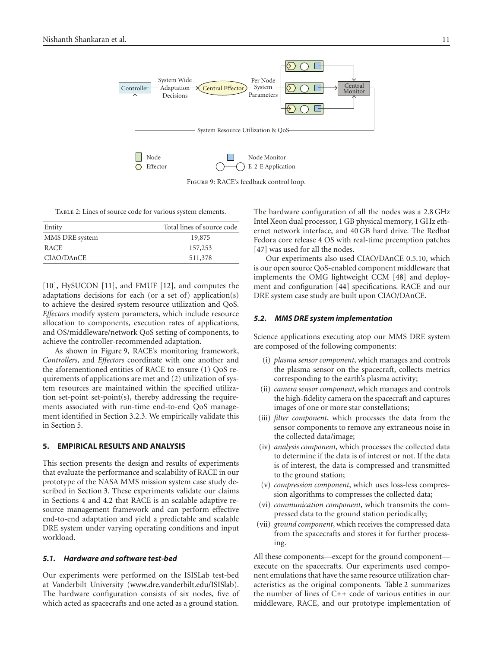

Figure 9: RACE's feedback control loop.

Table 2: Lines of source code for various system elements.

| Entity         | Total lines of source code |  |  |  |
|----------------|----------------------------|--|--|--|
| MMS DRE system | 19,875                     |  |  |  |
| <b>RACE</b>    | 157,253                    |  |  |  |
| CIAO/DAnCE     | 511,378                    |  |  |  |

[10], HySUCON [11], and FMUF [12], and computes the adaptations decisions for each (or a set of) application(s) to achieve the desired system resource utilization and QoS. *Effectors* modify system parameters, which include resource allocation to components, execution rates of applications, and OS/middleware/network QoS setting of components, to achieve the controller-recommended adaptation.

As shown in Figure 9, RACE's monitoring framework, *Controllers*, and *Effectors* coordinate with one another and the aforementioned entities of RACE to ensure (1) QoS requirements of applications are met and (2) utilization of system resources are maintained within the specified utilization set-point set-point $(s)$ , thereby addressing the requirements associated with run-time end-to-end QoS management identified in Section 3.2.3. We empirically validate this in Section 5.

#### **5. EMPIRICAL RESULTS AND ANALYSIS**

This section presents the design and results of experiments that evaluate the performance and scalability of RACE in our prototype of the NASA MMS mission system case study described in Section 3. These experiments validate our claims in Sections 4 and 4.2 that RACE is an scalable adaptive resource management framework and can perform effective end-to-end adaptation and yield a predictable and scalable DRE system under varying operating conditions and input workload.

#### *5.1. Hardware and software test-bed*

Our experiments were performed on the ISISLab test-bed at Vanderbilt University (www.dre.vanderbilt.edu/ISISlab). The hardware configuration consists of six nodes, five of which acted as spacecrafts and one acted as a ground station.

The hardware configuration of all the nodes was a 2.8 GHz Intel Xeon dual processor, 1 GB physical memory, 1 GHz ethernet network interface, and 40 GB hard drive. The Redhat Fedora core release 4 OS with real-time preemption patches [47] was used for all the nodes.

Our experiments also used CIAO/DAnCE 0.5.10, which is our open source QoS-enabled component middleware that implements the OMG lightweight CCM [48] and deployment and configuration [44] specifications. RACE and our DRE system case study are built upon CIAO/DAnCE.

#### *5.2. MMS DRE system implementation*

Science applications executing atop our MMS DRE system are composed of the following components:

- (i) *plasma sensor component*, which manages and controls the plasma sensor on the spacecraft, collects metrics corresponding to the earth's plasma activity;
- (ii) *camera sensor component*, which manages and controls the high-fidelity camera on the spacecraft and captures images of one or more star constellations;
- (iii) *filter component*, which processes the data from the sensor components to remove any extraneous noise in the collected data/image;
- (iv) *analysis component*, which processes the collected data to determine if the data is of interest or not. If the data is of interest, the data is compressed and transmitted to the ground station;
- (v) *compression component*, which uses loss-less compression algorithms to compresses the collected data;
- (vi) *communication component*, which transmits the compressed data to the ground station periodically;
- (vii) *ground component*, which receives the compressed data from the spacecrafts and stores it for further processing.

All these components—except for the ground component execute on the spacecrafts. Our experiments used component emulations that have the same resource utilization characteristics as the original components. Table 2 summarizes the number of lines of C++ code of various entities in our middleware, RACE, and our prototype implementation of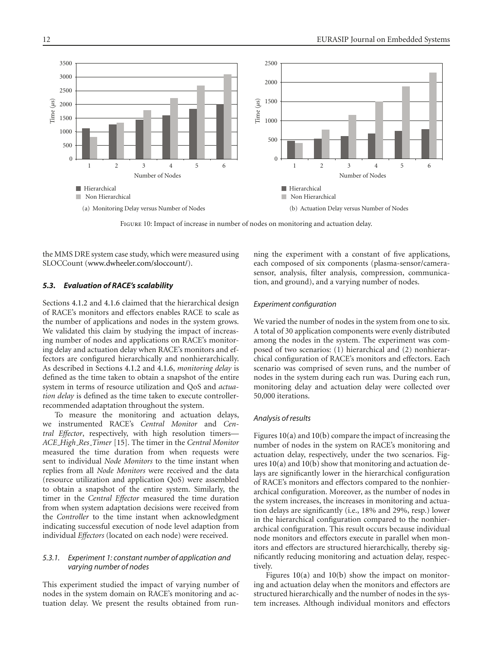

FIGURE 10: Impact of increase in number of nodes on monitoring and actuation delay.

the MMS DRE system case study, which were measured using SLOCCount (www.dwheeler.com/sloccount/).

#### *5.3. Evaluation of RACE's scalability*

Sections 4.1.2 and 4.1.6 claimed that the hierarchical design of RACE's monitors and effectors enables RACE to scale as the number of applications and nodes in the system grows. We validated this claim by studying the impact of increasing number of nodes and applications on RACE's monitoring delay and actuation delay when RACE's monitors and effectors are configured hierarchically and nonhierarchically. As described in Sections 4.1.2 and 4.1.6, *monitoring delay* is defined as the time taken to obtain a snapshot of the entire system in terms of resource utilization and QoS and *actuation delay* is defined as the time taken to execute controllerrecommended adaptation throughout the system.

To measure the monitoring and actuation delays, we instrumented RACE's *Central Monitor* and *Central Effector*, respectively, with high resolution timers— *ACE High Res Timer* [15]. The timer in the *Central Monitor* measured the time duration from when requests were sent to individual *Node Monitors* to the time instant when replies from all *Node Monitors* were received and the data (resource utilization and application QoS) were assembled to obtain a snapshot of the entire system. Similarly, the timer in the *Central Effector* measured the time duration from when system adaptation decisions were received from the *Controller* to the time instant when acknowledgment indicating successful execution of node level adaption from individual *Effectors* (located on each node) were received.

## *5.3.1. Experiment 1: constant number of application and varying number of nodes*

This experiment studied the impact of varying number of nodes in the system domain on RACE's monitoring and actuation delay. We present the results obtained from running the experiment with a constant of five applications, each composed of six components (plasma-sensor/camerasensor, analysis, filter analysis, compression, communication, and ground), and a varying number of nodes.

#### *Experiment configuration*

We varied the number of nodes in the system from one to six. A total of 30 application components were evenly distributed among the nodes in the system. The experiment was composed of two scenarios: (1) hierarchical and (2) nonhierarchical configuration of RACE's monitors and effectors. Each scenario was comprised of seven runs, and the number of nodes in the system during each run was. During each run, monitoring delay and actuation delay were collected over 50,000 iterations.

#### *Analysis of results*

Figures 10(a) and 10(b) compare the impact of increasing the number of nodes in the system on RACE's monitoring and actuation delay, respectively, under the two scenarios. Figures 10(a) and 10(b) show that monitoring and actuation delays are significantly lower in the hierarchical configuration of RACE's monitors and effectors compared to the nonhierarchical configuration. Moreover, as the number of nodes in the system increases, the increases in monitoring and actuation delays are significantly (i.e., 18% and 29%, resp.) lower in the hierarchical configuration compared to the nonhierarchical configuration. This result occurs because individual node monitors and effectors execute in parallel when monitors and effectors are structured hierarchically, thereby significantly reducing monitoring and actuation delay, respectively.

Figures 10(a) and 10(b) show the impact on monitoring and actuation delay when the monitors and effectors are structured hierarchically and the number of nodes in the system increases. Although individual monitors and effectors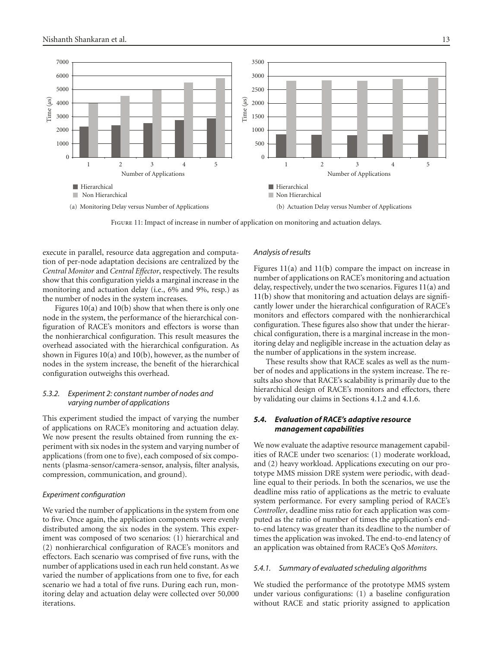

Figure 11: Impact of increase in number of application on monitoring and actuation delays.

execute in parallel, resource data aggregation and computation of per-node adaptation decisions are centralized by the *Central Monitor* and *Central Effector*, respectively. The results show that this configuration yields a marginal increase in the monitoring and actuation delay (i.e., 6% and 9%, resp.) as the number of nodes in the system increases.

Figures  $10(a)$  and  $10(b)$  show that when there is only one node in the system, the performance of the hierarchical configuration of RACE's monitors and effectors is worse than the nonhierarchical configuration. This result measures the overhead associated with the hierarchical configuration. As shown in Figures 10(a) and 10(b), however, as the number of nodes in the system increase, the benefit of the hierarchical configuration outweighs this overhead.

## *5.3.2. Experiment 2: constant number of nodes and varying number of applications*

This experiment studied the impact of varying the number of applications on RACE's monitoring and actuation delay. We now present the results obtained from running the experiment with six nodes in the system and varying number of applications (from one to five), each composed of six components (plasma-sensor/camera-sensor, analysis, filter analysis, compression, communication, and ground).

#### *Experiment configuration*

We varied the number of applications in the system from one to five. Once again, the application components were evenly distributed among the six nodes in the system. This experiment was composed of two scenarios: (1) hierarchical and (2) nonhierarchical configuration of RACE's monitors and effectors. Each scenario was comprised of five runs, with the number of applications used in each run held constant. As we varied the number of applications from one to five, for each scenario we had a total of five runs. During each run, monitoring delay and actuation delay were collected over 50,000 iterations.

## *Analysis of results*

Figures 11(a) and 11(b) compare the impact on increase in number of applications on RACE's monitoring and actuation delay, respectively, under the two scenarios. Figures 11(a) and 11(b) show that monitoring and actuation delays are significantly lower under the hierarchical configuration of RACE's monitors and effectors compared with the nonhierarchical configuration. These figures also show that under the hierarchical configuration, there is a marginal increase in the monitoring delay and negligible increase in the actuation delay as the number of applications in the system increase.

These results show that RACE scales as well as the number of nodes and applications in the system increase. The results also show that RACE's scalability is primarily due to the hierarchical design of RACE's monitors and effectors, there by validating our claims in Sections 4.1.2 and 4.1.6.

#### *5.4. Evaluation of RACE's adaptive resource management capabilities*

We now evaluate the adaptive resource management capabilities of RACE under two scenarios: (1) moderate workload, and (2) heavy workload. Applications executing on our prototype MMS mission DRE system were periodic, with deadline equal to their periods. In both the scenarios, we use the deadline miss ratio of applications as the metric to evaluate system performance. For every sampling period of RACE's *Controller*, deadline miss ratio for each application was computed as the ratio of number of times the application's endto-end latency was greater than its deadline to the number of times the application was invoked. The end-to-end latency of an application was obtained from RACE's QoS *Monitors*.

#### *5.4.1. Summary of evaluated scheduling algorithms*

We studied the performance of the prototype MMS system under various configurations: (1) a baseline configuration without RACE and static priority assigned to application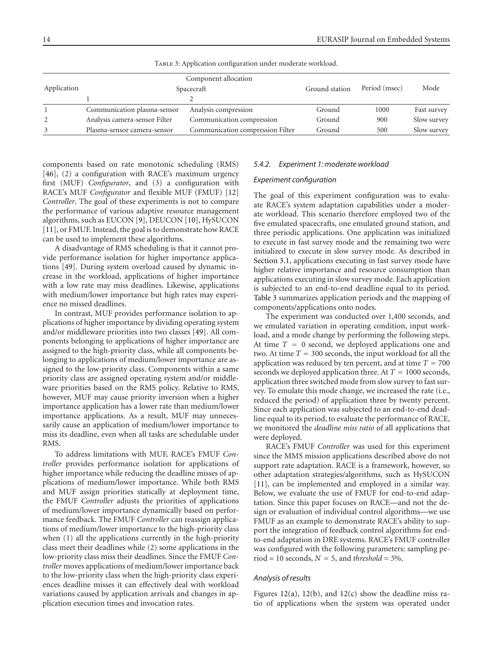| Application | Spacecraft                    | Ground station                   | Period (msec) | Mode |             |
|-------------|-------------------------------|----------------------------------|---------------|------|-------------|
|             |                               |                                  |               |      |             |
|             | Communication plasma-sensor   | Analysis compression             | Ground        | 1000 | Fast survey |
| 2           | Analysis camera-sensor Filter | Communication compression        | Ground        | 900  | Slow survey |
|             | Plasma-sensor camera-sensor   | Communication compression Filter | Ground        | 500  | Slow survey |

TABLE 3: Application configuration under moderate workload.

components based on rate monotonic scheduling (RMS) [46], (2) a configuration with RACE's maximum urgency first (MUF) *Configurator*, and (3) a configuration with RACE's MUF *Configurator* and flexible MUF (FMUF) [12] *Controller*. The goal of these experiments is not to compare the performance of various adaptive resource management algorithms, such as EUCON [9], DEUCON [10], HySUCON [11], or FMUF. Instead, the goal is to demonstrate how RACE can be used to implement these algorithms.

A disadvantage of RMS scheduling is that it cannot provide performance isolation for higher importance applications [49]. During system overload caused by dynamic increase in the workload, applications of higher importance with a low rate may miss deadlines. Likewise, applications with medium/lower importance but high rates may experience no missed deadlines.

In contrast, MUF provides performance isolation to applications of higher importance by dividing operating system and/or middleware priorities into two classes [49]. All components belonging to applications of higher importance are assigned to the high-priority class, while all components belonging to applications of medium/lower importance are assigned to the low-priority class. Components within a same priority class are assigned operating system and/or middleware priorities based on the RMS policy. Relative to RMS, however, MUF may cause priority inversion when a higher importance application has a lower rate than medium/lower importance applications. As a result, MUF may unnecessarily cause an application of medium/lower importance to miss its deadline, even when all tasks are schedulable under RMS.

To address limitations with MUF, RACE's FMUF *Controller* provides performance isolation for applications of higher importance while reducing the deadline misses of applications of medium/lower importance. While both RMS and MUF assign priorities statically at deployment time, the FMUF *Controller* adjusts the priorities of applications of medium/lower importance dynamically based on performance feedback. The FMUF *Controller* can reassign applications of medium/lower importance to the high-priority class when (1) all the applications currently in the high-priority class meet their deadlines while (2) some applications in the low-priority class miss their deadlines. Since the FMUF *Controller* moves applications of medium/lower importance back to the low-priority class when the high-priority class experiences deadline misses it can effectively deal with workload variations caused by application arrivals and changes in application execution times and invocation rates.

## *5.4.2. Experiment 1: moderate workload*

#### *Experiment configuration*

The goal of this experiment configuration was to evaluate RACE's system adaptation capabilities under a moderate workload. This scenario therefore employed two of the five emulated spacecrafts, one emulated ground station, and three periodic applications. One application was initialized to execute in fast survey mode and the remaining two were initialized to execute in slow survey mode. As described in Section 3.1, applications executing in fast survey mode have higher relative importance and resource consumption than applications executing in slow survey mode. Each application is subjected to an end-to-end deadline equal to its period. Table 3 summarizes application periods and the mapping of components/applications onto nodes.

The experiment was conducted over 1,400 seconds, and we emulated variation in operating condition, input workload, and a mode change by performing the following steps. At time  $T = 0$  second, we deployed applications one and two. At time  $T = 300$  seconds, the input workload for all the application was reduced by ten percent, and at time  $T = 700$ seconds we deployed application three. At  $T = 1000$  seconds, application three switched mode from slow survey to fast survey. To emulate this mode change, we increased the rate (i.e., reduced the period) of application three by twenty percent. Since each application was subjected to an end-to-end deadline equal to its period, to evaluate the performance of RACE, we monitored the *deadline miss ratio* of all applications that were deployed.

RACE's FMUF *Controller* was used for this experiment since the MMS mission applications described above do not support rate adaptation. RACE is a framework, however, so other adaptation strategies/algorithms, such as HySUCON [11], can be implemented and employed in a similar way. Below, we evaluate the use of FMUF for end-to-end adaptation. Since this paper focuses on RACE—and not the design or evaluation of individual control algorithms—we use FMUF as an example to demonstrate RACE's ability to support the integration of feedback control algorithms for endto-end adaptation in DRE systems. RACE's FMUF controller was configured with the following parameters: sampling period = 10 seconds,  $N = 5$ , and *threshold* = 5%.

#### *Analysis of results*

Figures 12(a), 12(b), and 12(c) show the deadline miss ratio of applications when the system was operated under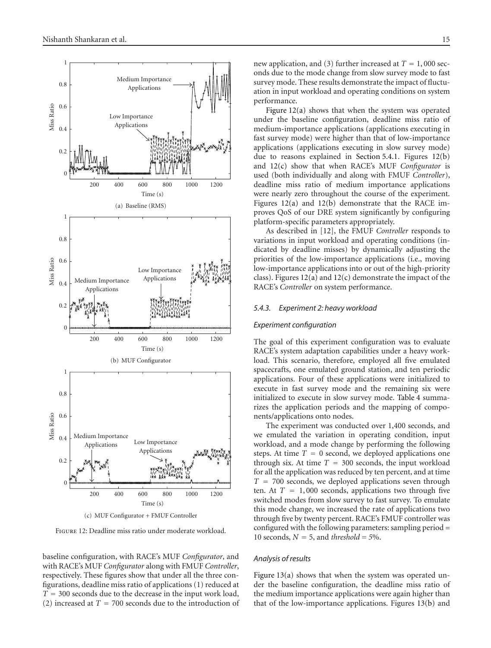

(c) MUF Configurator + FMUF Controller

Figure 12: Deadline miss ratio under moderate workload.

baseline configuration, with RACE's MUF *Configurator*, and with RACE's MUF *Configurator* along with FMUF *Controller*, respectively. These figures show that under all the three configurations, deadline miss ratio of applications (1) reduced at  $T = 300$  seconds due to the decrease in the input work load, (2) increased at  $T = 700$  seconds due to the introduction of new application, and (3) further increased at  $T = 1,000$  seconds due to the mode change from slow survey mode to fast survey mode. These results demonstrate the impact of fluctuation in input workload and operating conditions on system performance.

Figure 12(a) shows that when the system was operated under the baseline configuration, deadline miss ratio of medium-importance applications (applications executing in fast survey mode) were higher than that of low-importance applications (applications executing in slow survey mode) due to reasons explained in Section 5.4.1. Figures 12(b) and 12(c) show that when RACE's MUF *Configurator* is used (both individually and along with FMUF *Controller*), deadline miss ratio of medium importance applications were nearly zero throughout the course of the experiment. Figures 12(a) and 12(b) demonstrate that the RACE improves QoS of our DRE system significantly by configuring platform-specific parameters appropriately.

As described in [12], the FMUF *Controller* responds to variations in input workload and operating conditions (indicated by deadline misses) by dynamically adjusting the priorities of the low-importance applications (i.e., moving low-importance applications into or out of the high-priority class). Figures 12(a) and 12(c) demonstrate the impact of the RACE's *Controller* on system performance.

#### *5.4.3. Experiment 2: heavy workload*

#### *Experiment configuration*

The goal of this experiment configuration was to evaluate RACE's system adaptation capabilities under a heavy workload. This scenario, therefore, employed all five emulated spacecrafts, one emulated ground station, and ten periodic applications. Four of these applications were initialized to execute in fast survey mode and the remaining six were initialized to execute in slow survey mode. Table 4 summarizes the application periods and the mapping of components/applications onto nodes.

The experiment was conducted over 1,400 seconds, and we emulated the variation in operating condition, input workload, and a mode change by performing the following steps. At time  $T = 0$  second, we deployed applications one through six. At time  $T = 300$  seconds, the input workload for all the application was reduced by ten percent, and at time *T* = 700 seconds, we deployed applications seven through ten. At  $T = 1,000$  seconds, applications two through five switched modes from slow survey to fast survey. To emulate this mode change, we increased the rate of applications two through five by twenty percent. RACE's FMUF controller was configured with the following parameters: sampling period = 10 seconds,  $N = 5$ , and *threshold* = 5%.

#### *Analysis of results*

Figure 13(a) shows that when the system was operated under the baseline configuration, the deadline miss ratio of the medium importance applications were again higher than that of the low-importance applications. Figures 13(b) and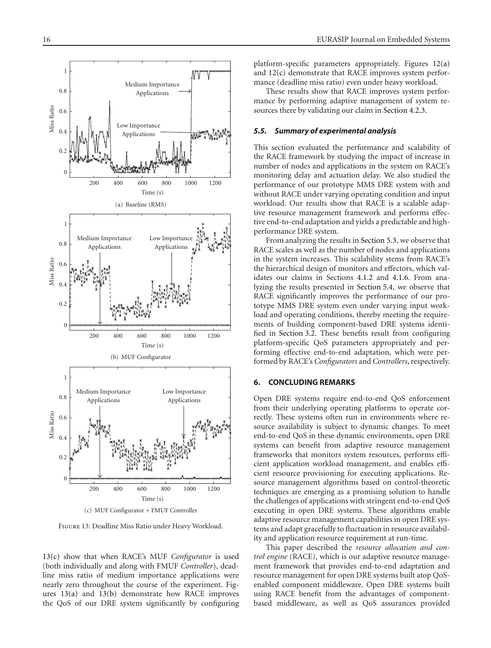



Figure 13: Deadline Miss Ratio under Heavy Workload.

13(c) show that when RACE's MUF *Configurator* is used (both individually and along with FMUF *Controller*), deadline miss ratio of medium importance applications were nearly zero throughout the course of the experiment. Figures 13(a) and 13(b) demonstrate how RACE improves the QoS of our DRE system significantly by configuring platform-specific parameters appropriately. Figures 12(a) and 12(c) demonstrate that RACE improves system performance (deadline miss ratio) even under heavy workload.

These results show that RACE improves system performance by performing adaptive management of system resources there by validating our claim in Section 4.2.3.

#### *5.5. Summary of experimental analysis*

This section evaluated the performance and scalability of the RACE framework by studying the impact of increase in number of nodes and applications in the system on RACE's monitoring delay and actuation delay. We also studied the performance of our prototype MMS DRE system with and without RACE under varying operating condition and input workload. Our results show that RACE is a scalable adaptive resource management framework and performs effective end-to-end adaptation and yields a predictable and highperformance DRE system.

From analyzing the results in Section 5.3, we observe that RACE scales as well as the number of nodes and applications in the system increases. This scalability stems from RACE's the hierarchical design of monitors and effectors, which validates our claims in Sections 4.1.2 and 4.1.6. From analyzing the results presented in Section 5.4, we observe that RACE significantly improves the performance of our prototype MMS DRE system even under varying input workload and operating conditions, thereby meeting the requirements of building component-based DRE systems identified in Section 3.2. These benefits result from configuring platform-specific QoS parameters appropriately and performing effective end-to-end adaptation, which were performed by RACE's *Configurators* and *Controllers*, respectively.

#### **6. CONCLUDING REMARKS**

Open DRE systems require end-to-end QoS enforcement from their underlying operating platforms to operate correctly. These systems often run in environments where resource availability is subject to dynamic changes. To meet end-to-end QoS in these dynamic environments, open DRE systems can benefit from adaptive resource management frameworks that monitors system resources, performs efficient application workload management, and enables efficient resource provisioning for executing applications. Resource management algorithms based on control-theoretic techniques are emerging as a promising solution to handle the challenges of applications with stringent end-to-end QoS executing in open DRE systems. These algorithms enable adaptive resource management capabilities in open DRE systems and adapt gracefully to fluctuation in resource availability and application resource requirement at run-time.

This paper described the *resource allocation and control engine* (RACE), which is our adaptive resource management framework that provides end-to-end adaptation and resource management for open DRE systems built atop QoSenabled component middleware. Open DRE systems built using RACE benefit from the advantages of componentbased middleware, as well as QoS assurances provided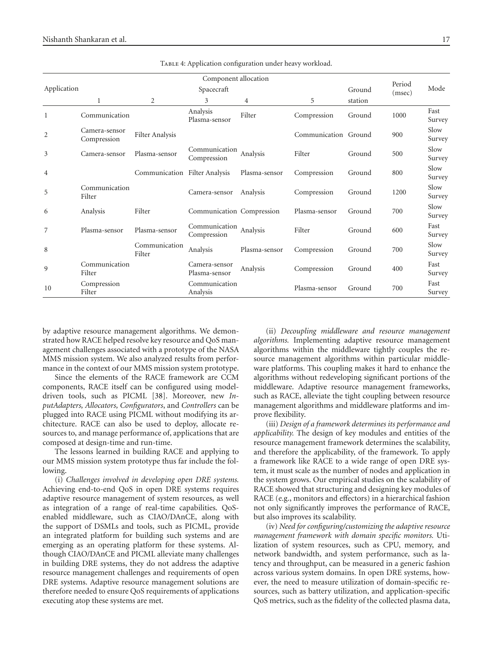| Component allocation |                              |                               |                                |               |                      |         |                  |                |
|----------------------|------------------------------|-------------------------------|--------------------------------|---------------|----------------------|---------|------------------|----------------|
| Application          |                              | Spacecraft                    |                                |               | Ground               |         | Period<br>(msec) | Mode           |
|                      | 1                            | 2                             | 3                              | 4             | 5                    | station |                  |                |
| 1                    | Communication                |                               | Analysis<br>Plasma-sensor      | Filter        | Compression          | Ground  | 1000             | Fast<br>Survey |
| $\overline{2}$       | Camera-sensor<br>Compression | <b>Filter Analysis</b>        |                                |               | Communication Ground |         | 900              | Slow<br>Survey |
| 3                    | Camera-sensor                | Plasma-sensor                 | Communication<br>Compression   | Analysis      | Filter               | Ground  | 500              | Slow<br>Survey |
| $\overline{4}$       |                              | Communication Filter Analysis |                                | Plasma-sensor | Compression          | Ground  | 800              | Slow<br>Survey |
| 5                    | Communication<br>Filter      |                               | Camera-sensor                  | Analysis      | Compression          | Ground  | 1200             | Slow<br>Survey |
| 6                    | Analysis                     | Filter                        | Communication Compression      |               | Plasma-sensor        | Ground  | 700              | Slow<br>Survey |
| 7                    | Plasma-sensor                | Plasma-sensor                 | Communication<br>Compression   | Analysis      | Filter               | Ground  | 600              | Fast<br>Survey |
| 8                    |                              | Communication<br>Filter       | Analysis                       | Plasma-sensor | Compression          | Ground  | 700              | Slow<br>Survey |
| 9                    | Communication<br>Filter      |                               | Camera-sensor<br>Plasma-sensor | Analysis      | Compression          | Ground  | 400              | Fast<br>Survey |
| 10                   | Compression<br>Filter        |                               | Communication<br>Analysis      |               | Plasma-sensor        | Ground  | 700              | Fast<br>Survey |

TABLE 4: Application configuration under heavy workload.

by adaptive resource management algorithms. We demonstrated how RACE helped resolve key resource and QoS management challenges associated with a prototype of the NASA MMS mission system. We also analyzed results from performance in the context of our MMS mission system prototype.

Since the elements of the RACE framework are CCM components, RACE itself can be configured using modeldriven tools, such as PICML [38]. Moreover, new *InputAdapters, Allocators, Configurators*, and *Controllers* can be plugged into RACE using PICML without modifying its architecture. RACE can also be used to deploy, allocate resources to, and manage performance of, applications that are composed at design-time and run-time.

The lessons learned in building RACE and applying to our MMS mission system prototype thus far include the following.

(i) *Challenges involved in developing open DRE systems.* Achieving end-to-end QoS in open DRE systems requires adaptive resource management of system resources, as well as integration of a range of real-time capabilities. QoSenabled middleware, such as CIAO/DAnCE, along with the support of DSMLs and tools, such as PICML, provide an integrated platform for building such systems and are emerging as an operating platform for these systems. Although CIAO/DAnCE and PICML alleviate many challenges in building DRE systems, they do not address the adaptive resource management challenges and requirements of open DRE systems. Adaptive resource management solutions are therefore needed to ensure QoS requirements of applications executing atop these systems are met.

(ii) *Decoupling middleware and resource management algorithms.* Implementing adaptive resource management algorithms within the middleware tightly couples the resource management algorithms within particular middleware platforms. This coupling makes it hard to enhance the algorithms without redeveloping significant portions of the middleware. Adaptive resource management frameworks, such as RACE, alleviate the tight coupling between resource management algorithms and middleware platforms and improve flexibility.

(iii) *Design of a framework determines its performance and applicability.* The design of key modules and entities of the resource management framework determines the scalability, and therefore the applicability, of the framework. To apply a framework like RACE to a wide range of open DRE system, it must scale as the number of nodes and application in the system grows. Our empirical studies on the scalability of RACE showed that structuring and designing key modules of RACE (e.g., monitors and effectors) in a hierarchical fashion not only significantly improves the performance of RACE, but also improves its scalability.

(iv) *Need for configuring/customizing the adaptive resource management framework with domain specific monitors.* Utilization of system resources, such as CPU, memory, and network bandwidth, and system performance, such as latency and throughput, can be measured in a generic fashion across various system domains. In open DRE systems, however, the need to measure utilization of domain-specific resources, such as battery utilization, and application-specific QoS metrics, such as the fidelity of the collected plasma data,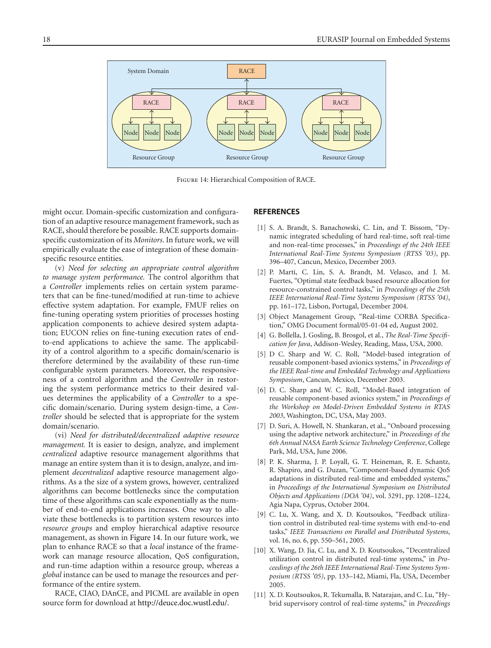

Figure 14: Hierarchical Composition of RACE.

might occur. Domain-specific customization and configuration of an adaptive resource management framework, such as RACE, should therefore be possible. RACE supports domainspecific customization of its *Monitors*. In future work, we will empirically evaluate the ease of integration of these domainspecific resource entities.

(v) *Need for selecting an appropriate control algorithm to manage system performance.* The control algorithm that a *Controller* implements relies on certain system parameters that can be fine-tuned/modified at run-time to achieve effective system adaptation. For example, FMUF relies on fine-tuning operating system priorities of processes hosting application components to achieve desired system adaptation; EUCON relies on fine-tuning execution rates of endto-end applications to achieve the same. The applicability of a control algorithm to a specific domain/scenario is therefore determined by the availability of these run-time configurable system parameters. Moreover, the responsiveness of a control algorithm and the *Controller* in restoring the system performance metrics to their desired values determines the applicability of a *Controller* to a specific domain/scenario. During system design-time, a *Controller* should be selected that is appropriate for the system domain/scenario.

(vi) *Need for distributed/decentralized adaptive resource management.* It is easier to design, analyze, and implement *centralized* adaptive resource management algorithms that manage an entire system than it is to design, analyze, and implement *decentralized* adaptive resource management algorithms. As a the size of a system grows, however, centralized algorithms can become bottlenecks since the computation time of these algorithms can scale exponentially as the number of end-to-end applications increases. One way to alleviate these bottlenecks is to partition system resources into *resource groups* and employ hierarchical adaptive resource management, as shown in Figure 14. In our future work, we plan to enhance RACE so that a *local* instance of the framework can manage resource allocation, QoS configuration, and run-time adaption within a resource group, whereas a *global* instance can be used to manage the resources and performance of the entire system.

RACE, CIAO, DAnCE, and PICML are available in open source form for download at http://deuce.doc.wustl.edu/.

#### **REFERENCES**

- [1] S. A. Brandt, S. Banachowski, C. Lin, and T. Bissom, "Dynamic integrated scheduling of hard real-time, soft real-time and non-real-time processes," in *Proceedings of the 24th IEEE International Real-Time Systems Symposium (RTSS '03)*, pp. 396–407, Cancun, Mexico, December 2003.
- [2] P. Martí, C. Lin, S. A. Brandt, M. Velasco, and J. M. Fuertes, "Optimal state feedback based resource allocation for resource-constrained control tasks," in *Proceedings of the 25th IEEE International Real-Time Systems Symposium (RTSS '04)*, pp. 161–172, Lisbon, Portugal, December 2004.
- [3] Object Management Group, "Real-time CORBA Specification," OMG Document formal/05-01-04 ed, August 2002.
- [4] G. Bollella, J. Gosling, B. Brosgol, et al., *The Real-Time Specification for Java*, Addison-Wesley, Reading, Mass, USA, 2000.
- [5] D C. Sharp and W. C. Roll, "Model-based integration of reusable component-based avionics systems," in *Proceedings of the IEEE Real-time and Embedded Technology and Applications Symposium*, Cancun, Mexico, December 2003.
- [6] D. C. Sharp and W. C. Roll, "Model-Based integration of reusable component-based avionics system," in *Proceedings of the Workshop on Model-Driven Embedded Systems in RTAS 2003*, Washington, DC, USA, May 2003.
- [7] D. Suri, A. Howell, N. Shankaran, et al., "Onboard processing using the adaptive network architecture," in *Proceedings of the 6th Annual NASA Earth Science Technology Conference*, College Park, Md, USA, June 2006.
- [8] P. K. Sharma, J. P. Loyall, G. T. Heineman, R. E. Schantz, R. Shapiro, and G. Duzan, "Component-based dynamic QoS adaptations in distributed real-time and embedded systems," in *Proceedings of the International Symposium on Distributed Objects and Applications (DOA '04)*, vol. 3291, pp. 1208–1224, Agia Napa, Cyprus, October 2004.
- [9] C. Lu, X. Wang, and X. D. Koutsoukos, "Feedback utilization control in distributed real-time systems with end-to-end tasks," *IEEE Transactions on Parallel and Distributed Systems*, vol. 16, no. 6, pp. 550–561, 2005.
- [10] X. Wang, D. Jia, C. Lu, and X. D. Koutsoukos, "Decentralized utilization control in distributed real-time systems," in *Proceedings of the 26th IEEE International Real-Time Systems Symposium (RTSS '05)*, pp. 133–142, Miami, Fla, USA, December 2005.
- [11] X. D. Koutsoukos, R. Tekumalla, B. Natarajan, and C. Lu, "Hybrid supervisory control of real-time systems," in *Proceedings*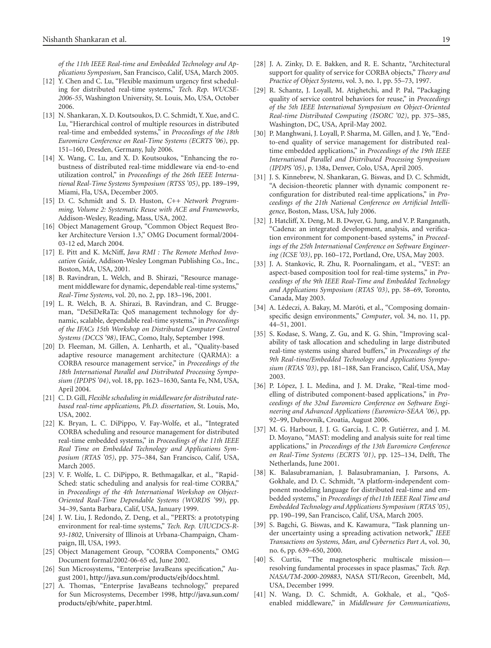*of the 11th IEEE Real-time and Embedded Technology and Applications Symposium*, San Francisco, Calif, USA, March 2005.

- [12] Y. Chen and C. Lu, "Flexible maximum urgency first scheduling for distributed real-time systems," *Tech. Rep. WUCSE-2006-55*, Washington University, St. Louis, Mo, USA, October 2006.
- [13] N. Shankaran, X. D. Koutsoukos, D. C. Schmidt, Y. Xue, and C. Lu, "Hierarchical control of multiple resources in distributed real-time and embedded systems," in *Proceedings of the 18th Euromicro Conference on Real-Time Systems (ECRTS '06)*, pp. 151–160, Dresden, Germany, July 2006.
- [14] X. Wang, C. Lu, and X. D. Koutsoukos, "Enhancing the robustness of distributed real-time middleware via end-to-end utilization control," in *Proceedings of the 26th IEEE International Real-Time Systems Symposium (RTSS '05)*, pp. 189–199, Miami, Fla, USA, December 2005.
- [15] D. C. Schmidt and S. D. Huston, *C++ Network Programming, Volume 2: Systematic Reuse with ACE and Frameworks*, Addison-Wesley, Reading, Mass, USA, 2002.
- [16] Object Management Group, "Common Object Request Broker Architecture Version 1.3," OMG Document formal/2004- 03-12 ed, March 2004.
- [17] E. Pitt and K. McNiff, *Java RMI : The Remote Method Invocation Guide*, Addison-Wesley Longman Publishing Co., Inc., Boston, MA, USA, 2001.
- [18] B. Ravindran, L. Welch, and B. Shirazi, "Resource management middleware for dynamic, dependable real-time systems," *Real-Time Systems*, vol. 20, no. 2, pp. 183–196, 2001.
- [19] L. R. Welch, B. A. Shirazi, B. Ravindran, and C. Bruggeman, "DeSiDeRaTa: QoS management technology for dynamic, scalable, dependable real-time systems," in *Proceedings of the IFACs 15th Workshop on Distributed Computer Control Systems (DCCS '98)*, IFAC, Como, Italy, September 1998.
- [20] D. Fleeman, M. Gillen, A. Lenharth, et al., "Quality-based adaptive resource management architecture (QARMA): a CORBA resource management service," in *Proceedings of the 18th International Parallel and Distributed Processing Symposium (IPDPS '04)*, vol. 18, pp. 1623–1630, Santa Fe, NM, USA, April 2004.
- [21] C.D. Gill, *Flexible scheduling in middleware for distributed ratebased real-time applications, Ph.D. dissertation*, St. Louis, Mo, USA, 2002.
- [22] K. Bryan, L. C. DiPippo, V. Fay-Wolfe, et al., "Integrated CORBA scheduling and resource management for distributed real-time embedded systems," in *Proceedings of the 11th IEEE Real Time on Embedded Technology and Applications Symposium (RTAS '05)*, pp. 375–384, San Francisco, Calif, USA, March 2005.
- [23] V. F. Wolfe, L. C. DiPippo, R. Bethmagalkar, et al., "Rapid-Sched: static scheduling and analysis for real-time CORBA," in *Proceedings of the 4th International Workshop on Object-Oriented Real-Time Dependable Systems (WORDS '99)*, pp. 34–39, Santa Barbara, Calif, USA, January 1999.
- [24] J. W. Liu, J. Redondo, Z. Deng, et al., "PERTS: a prototyping environment for real-time systems," *Tech. Rep. UIUCDCS-R-93-1802*, University of Illinois at Urbana-Champaign, Champaign, Ill, USA, 1993.
- [25] Object Management Group, "CORBA Components," OMG Document formal/2002-06-65 ed, June 2002.
- [26] Sun Microsystems, "Enterprise JavaBeans specification," August 2001, http://java.sun.com/products/ejb/docs.html.
- [27] A. Thomas, "Enterprise JavaBeans technology," prepared for Sun Microsystems, December 1998, http://java.sun.com/ products/ejb/white\_paper.html.
- [28] J. A. Zinky, D. E. Bakken, and R. E. Schantz, "Architectural support for quality of service for CORBA objects," *Theory and Practice of Object Systems*, vol. 3, no. 1, pp. 55–73, 1997.
- [29] R. Schantz, J. Loyall, M. Atighetchi, and P. Pal, "Packaging quality of service control behaviors for reuse," in *Proceedings of the 5th IEEE International Symposium on Object-Oriented Real-time Distributed Computing (ISORC '02)*, pp. 375–385, Washington, DC, USA, April-May 2002.
- [30] P. Manghwani, J. Loyall, P. Sharma, M. Gillen, and J. Ye, "Endto-end quality of service management for distributed realtime embedded applications," in *Proceedings of the 19th IEEE International Parallel and Distributed Processing Symposium (IPDPS '05)*, p. 138a, Denver, Colo, USA, April 2005.
- [31] J. S. Kinnebrew, N. Shankaran, G. Biswas, and D. C. Schmidt, "A decision-theoretic planner with dynamic component reconfiguration for distributed real-time applications," in *Proceedings of the 21th National Conference on Artificial Intelligence*, Boston, Mass, USA, July 2006.
- [32] J. Hatcliff, X. Deng, M. B. Dwyer, G. Jung, and V. P. Ranganath, "Cadena: an integrated development, analysis, and verification environment for component-based systems," in *Proceedings of the 25th International Conference on Software Engineering (ICSE '03)*, pp. 160–172, Portland, Ore, USA, May 2003.
- [33] J. A. Stankovic, R. Zhu, R. Poornalingam, et al., "VEST: an aspect-based composition tool for real-time systems," in *Proceedings of the 9th IEEE Real-Time and Embedded Technology and Applications Symposium (RTAS '03)*, pp. 58–69, Toronto, Canada, May 2003.
- [34] A. Lédeczi, A. Bakay, M. Maróti, et al., "Composing domainspecific design environments," *Computer*, vol. 34, no. 11, pp. 44–51, 2001.
- [35] S. Kodase, S. Wang, Z. Gu, and K. G. Shin, "Improving scalability of task allocation and scheduling in large distributed real-time systems using shared buffers," in *Proceedings of the 9th Real-time/Embedded Technology and Applications Symposium (RTAS '03)*, pp. 181–188, San Francisco, Calif, USA, May 2003.
- [36] P. López, J. L. Medina, and J. M. Drake, "Real-time modelling of distributed component-based applications," in *Proceedings of the 32nd Euromicro Conference on Software Engineering and Advanced Applications (Euromicro-SEAA '06)*, pp. 92–99, Dubrovnik, Croatia, August 2006.
- [37] M. G. Harbour, J. J. G. García, J. C. P. Gutiérrez, and J. M. D. Moyano, "MAST: modeling and analysis suite for real time applications," in *Proceedings of the 13th Euromicro Conference on Real-Time Systems (ECRTS '01)*, pp. 125–134, Delft, The Netherlands, June 2001.
- [38] K. Balasubramanian, J. Balasubramanian, J. Parsons, A. Gokhale, and D. C. Schmidt, "A platform-independent component modeling language for distributed real-time and embedded systems," in *Proceedings of the11th IEEE Real Time and Embedded Technology and Applications Symposium (RTAS '05)*, pp. 190–199, San Francisco, Calif, USA, March 2005.
- [39] S. Bagchi, G. Biswas, and K. Kawamura, "Task planning under uncertainty using a spreading activation network," *IEEE Transactions on Systems, Man, and Cybernetics Part A*, vol. 30, no. 6, pp. 639–650, 2000.
- [40] S. Curtis, "The magnetospheric multiscale missionresolving fundamental processes in space plasmas," *Tech. Rep. NASA/TM-2000-209883*, NASA STI/Recon, Greenbelt, Md, USA, December 1999.
- [41] N. Wang, D. C. Schmidt, A. Gokhale, et al., "QoSenabled middleware," in *Middleware for Communications*,